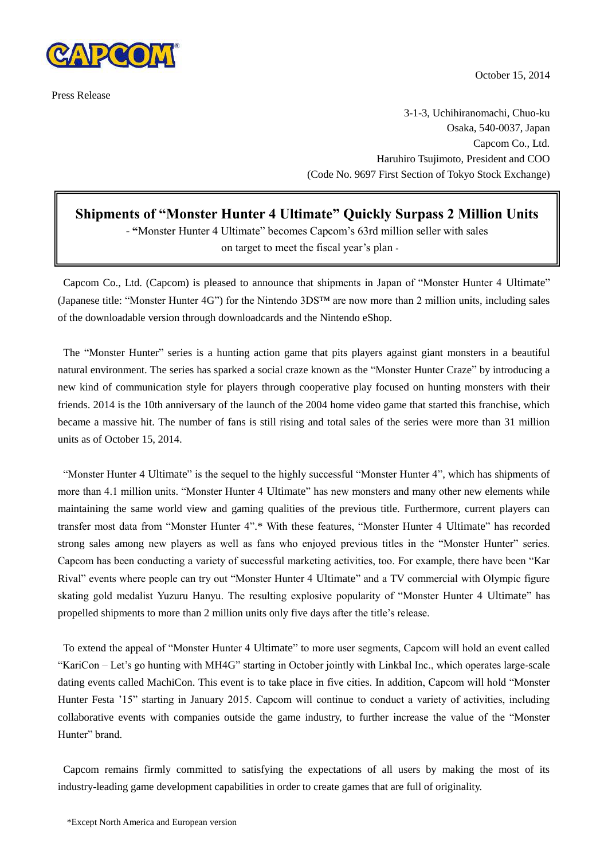

Press Release

October 15, 2014

3-1-3, Uchihiranomachi, Chuo-ku Osaka, 540-0037, Japan Capcom Co., Ltd. Haruhiro Tsujimoto, President and COO (Code No. 9697 First Section of Tokyo Stock Exchange)

**Shipments of "Monster Hunter 4 Ultimate" Quickly Surpass 2 Million Units**

- **"**Monster Hunter 4 Ultimate" becomes Capcom's 63rd million seller with sales on target to meet the fiscal year's plan -

Capcom Co., Ltd. (Capcom) is pleased to announce that shipments in Japan of "Monster Hunter 4 Ultimate" (Japanese title: "Monster Hunter 4G") for the Nintendo 3DS™ are now more than 2 million units, including sales of the downloadable version through downloadcards and the Nintendo eShop.

The "Monster Hunter" series is a hunting action game that pits players against giant monsters in a beautiful natural environment. The series has sparked a social craze known as the "Monster Hunter Craze" by introducing a new kind of communication style for players through cooperative play focused on hunting monsters with their friends. 2014 is the 10th anniversary of the launch of the 2004 home video game that started this franchise, which became a massive hit. The number of fans is still rising and total sales of the series were more than 31 million units as of October 15, 2014.

"Monster Hunter 4 Ultimate" is the sequel to the highly successful "Monster Hunter 4", which has shipments of more than 4.1 million units. "Monster Hunter 4 Ultimate" has new monsters and many other new elements while maintaining the same world view and gaming qualities of the previous title. Furthermore, current players can transfer most data from "Monster Hunter 4".\* With these features, "Monster Hunter 4 Ultimate" has recorded strong sales among new players as well as fans who enjoyed previous titles in the "Monster Hunter" series. Capcom has been conducting a variety of successful marketing activities, too. For example, there have been "Kar Rival" events where people can try out "Monster Hunter 4 Ultimate" and a TV commercial with Olympic figure skating gold medalist Yuzuru Hanyu. The resulting explosive popularity of "Monster Hunter 4 Ultimate" has propelled shipments to more than 2 million units only five days after the title's release.

To extend the appeal of "Monster Hunter 4 Ultimate" to more user segments, Capcom will hold an event called "KariCon – Let's go hunting with MH4G" starting in October jointly with Linkbal Inc., which operates large-scale dating events called MachiCon. This event is to take place in five cities. In addition, Capcom will hold "Monster Hunter Festa '15" starting in January 2015. Capcom will continue to conduct a variety of activities, including collaborative events with companies outside the game industry, to further increase the value of the "Monster Hunter" brand.

Capcom remains firmly committed to satisfying the expectations of all users by making the most of its industry-leading game development capabilities in order to create games that are full of originality.